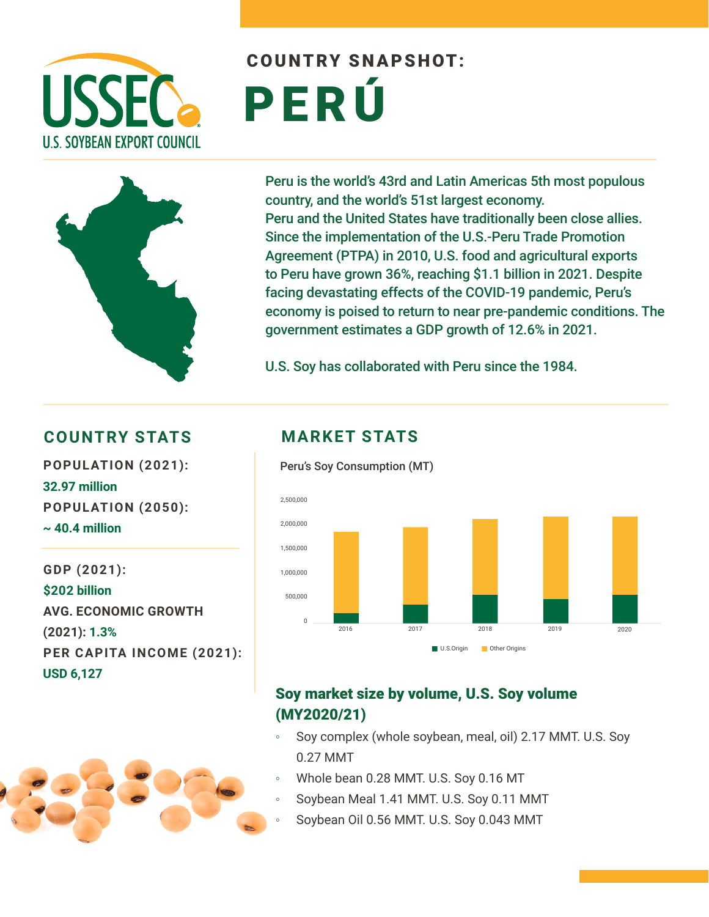

# COUNTRY SNAPSHOT: PERÚ



Peru is the world's 43rd and Latin Americas 5th most populous country, and the world's 51st largest economy. Peru and the United States have traditionally been close allies. Since the implementation of the U.S.-Peru Trade Promotion Agreement (PTPA) in 2010, U.S. food and agricultural exports to Peru have grown 36%, reaching \$1.1 billion in 2021. Despite facing devastating effects of the COVID-19 pandemic, Peru's economy is poised to return to near pre-pandemic conditions. The government estimates a GDP growth of 12.6% in 2021.

U.S. Soy has collaborated with Peru since the 1984.

#### **COUNTRY STATS MARKET STATS**

**POPULATION (2021):** Peru's Soy Consumption (MT) **32.97 million POPULATION (2050): ~ 40.4 million**

**GDP (2021): \$202 billion AVG. ECONOMIC GROWTH (2021): 1.3% PER CAPITA INCOME (2021): USD 6,127**





### Soy market size by volume, U.S. Soy volume (MY2020/21)

- Soy complex (whole soybean, meal, oil) 2.17 MMT. U.S. Soy 0.27 MMT
- Whole bean 0.28 MMT. U.S. Soy 0.16 MT
- Soybean Meal 1.41 MMT. U.S. Soy 0.11 MMT
- Soybean Oil 0.56 MMT. U.S. Soy 0.043 MMT